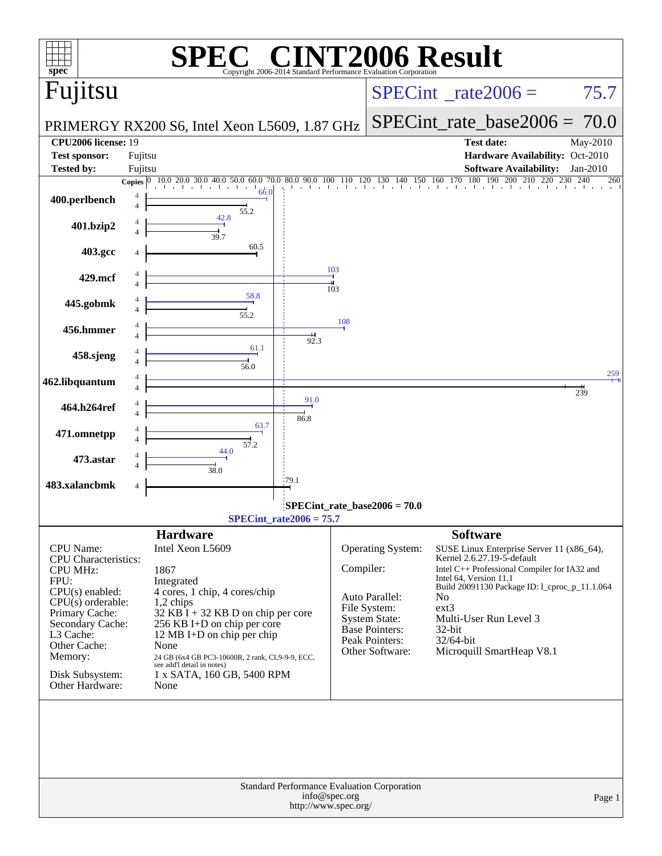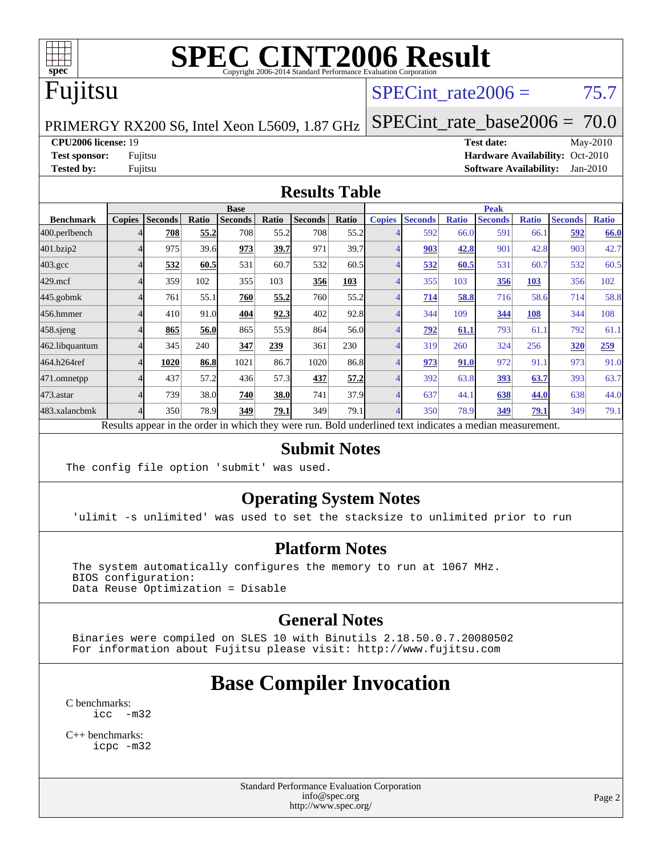

## Fujitsu

#### SPECint rate $2006 = 75.7$

[SPECint\\_rate\\_base2006 =](http://www.spec.org/auto/cpu2006/Docs/result-fields.html#SPECintratebase2006) 70.0

PRIMERGY RX200 S6, Intel Xeon L5609, 1.87 GHz

**[CPU2006 license:](http://www.spec.org/auto/cpu2006/Docs/result-fields.html#CPU2006license)** 19 **[Test date:](http://www.spec.org/auto/cpu2006/Docs/result-fields.html#Testdate)** May-2010 **[Test sponsor:](http://www.spec.org/auto/cpu2006/Docs/result-fields.html#Testsponsor)** Fujitsu **[Hardware Availability:](http://www.spec.org/auto/cpu2006/Docs/result-fields.html#HardwareAvailability)** Oct-2010 **[Tested by:](http://www.spec.org/auto/cpu2006/Docs/result-fields.html#Testedby)** Fujitsu **[Software Availability:](http://www.spec.org/auto/cpu2006/Docs/result-fields.html#SoftwareAvailability)** Jan-2010

#### **[Results Table](http://www.spec.org/auto/cpu2006/Docs/result-fields.html#ResultsTable)**

|                    | <b>Base</b>   |                |       |                                                                                                          |             |                |       | <b>Peak</b>   |                |              |                |              |                |              |
|--------------------|---------------|----------------|-------|----------------------------------------------------------------------------------------------------------|-------------|----------------|-------|---------------|----------------|--------------|----------------|--------------|----------------|--------------|
| <b>Benchmark</b>   | <b>Copies</b> | <b>Seconds</b> | Ratio | <b>Seconds</b>                                                                                           | Ratio       | <b>Seconds</b> | Ratio | <b>Copies</b> | <b>Seconds</b> | <b>Ratio</b> | <b>Seconds</b> | <b>Ratio</b> | <b>Seconds</b> | <b>Ratio</b> |
| 400.perlbench      |               | 708            | 55.2  | 708                                                                                                      | 55.2        | 708            | 55.2  |               | 592            | 66.0         | 591            | 66.1         | 592            | 66.0         |
| 401.bzip2          |               | 975            | 39.6  | 973                                                                                                      | 39.7        | 971            | 39.7  |               | 903            | 42.8         | 901            | 42.8         | 903            | 42.7         |
| $403.\mathrm{gcc}$ |               | 532            | 60.5  | 531                                                                                                      | 60.7        | 532            | 60.5  |               | 532            | 60.5         | 531            | 60.7         | 532            | 60.5         |
| $429$ .mcf         |               | 359            | 102   | 355                                                                                                      | 103         | 356            | 103   |               | 355            | 103          | 356            | 103          | 356            | 102          |
| $445$ .gobm $k$    |               | 761            | 55.1  | 760                                                                                                      | 55.2        | 760            | 55.2  |               | 714            | 58.8         | 716            | 58.6         | 714            | 58.8         |
| 456.hmmer          |               | 410            | 91.0  | 404                                                                                                      | 92.3        | 402            | 92.8  |               | 344            | 109          | 344            | 108          | 344            | 108          |
| 458.sjeng          |               | 865            | 56.0  | 865                                                                                                      | 55.9        | 864            | 56.0  |               | 792            | 61.1         | 793            | 61.1         | 792            | 61.1         |
| 462.libquantum     |               | 345            | 240   | 347                                                                                                      | 239         | 361            | 230   |               | 319            | 260          | 324            | 256          | 320            | 259          |
| 464.h264ref        |               | 1020           | 86.8  | 1021                                                                                                     | 86.7        | 1020           | 86.8  |               | 973            | 91.0         | 972            | 91.1         | 973            | 91.0         |
| 471.omnetpp        |               | 437            | 57.2  | 436                                                                                                      | 57.3        | 437            | 57.2  |               | 392            | 63.8         | 393            | 63.7         | 393            | 63.7         |
| $473.$ astar       |               | 739            | 38.0  | 740                                                                                                      | <b>38.0</b> | 741            | 37.9  |               | 637            | 44.1         | 638            | 44.0         | 638            | 44.0         |
| 483.xalancbmk      |               | 350            | 78.9  | 349                                                                                                      | 79.1        | 349            | 79.1  |               | 350            | 78.9         | 349            | 79.1         | 349            | 79.1         |
|                    |               |                |       | Results appear in the order in which they were run. Bold underlined text indicates a median measurement. |             |                |       |               |                |              |                |              |                |              |

#### **[Submit Notes](http://www.spec.org/auto/cpu2006/Docs/result-fields.html#SubmitNotes)**

The config file option 'submit' was used.

#### **[Operating System Notes](http://www.spec.org/auto/cpu2006/Docs/result-fields.html#OperatingSystemNotes)**

'ulimit -s unlimited' was used to set the stacksize to unlimited prior to run

#### **[Platform Notes](http://www.spec.org/auto/cpu2006/Docs/result-fields.html#PlatformNotes)**

 The system automatically configures the memory to run at 1067 MHz. BIOS configuration: Data Reuse Optimization = Disable

#### **[General Notes](http://www.spec.org/auto/cpu2006/Docs/result-fields.html#GeneralNotes)**

 Binaries were compiled on SLES 10 with Binutils 2.18.50.0.7.20080502 For information about Fujitsu please visit: <http://www.fujitsu.com>

### **[Base Compiler Invocation](http://www.spec.org/auto/cpu2006/Docs/result-fields.html#BaseCompilerInvocation)**

[C benchmarks](http://www.spec.org/auto/cpu2006/Docs/result-fields.html#Cbenchmarks): [icc -m32](http://www.spec.org/cpu2006/results/res2010q3/cpu2006-20100706-12275.flags.html#user_CCbase_intel_icc_32bit_5ff4a39e364c98233615fdd38438c6f2)

[C++ benchmarks:](http://www.spec.org/auto/cpu2006/Docs/result-fields.html#CXXbenchmarks) [icpc -m32](http://www.spec.org/cpu2006/results/res2010q3/cpu2006-20100706-12275.flags.html#user_CXXbase_intel_icpc_32bit_4e5a5ef1a53fd332b3c49e69c3330699)

> Standard Performance Evaluation Corporation [info@spec.org](mailto:info@spec.org) <http://www.spec.org/>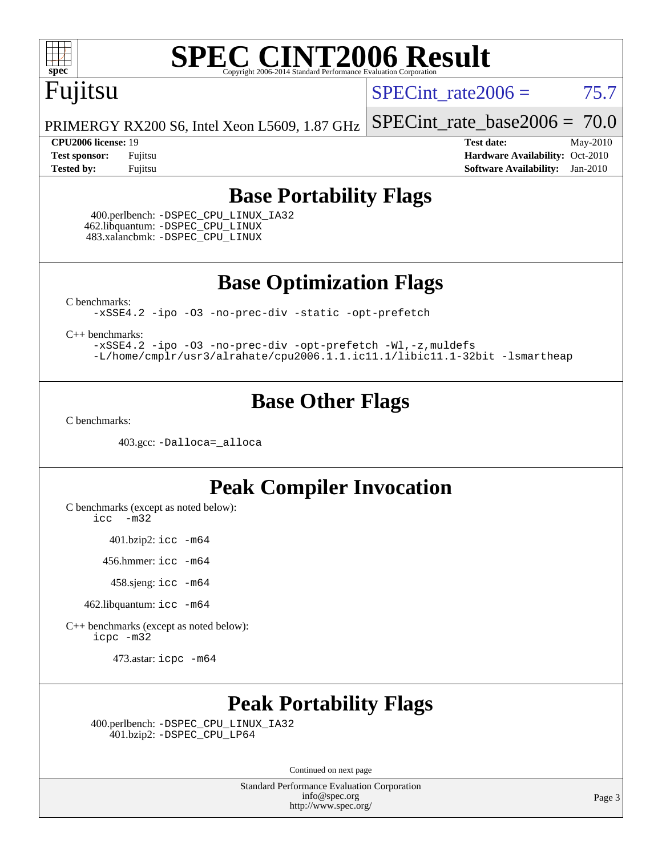

## Fujitsu

SPECint rate $2006 = 75.7$ 

[SPECint\\_rate\\_base2006 =](http://www.spec.org/auto/cpu2006/Docs/result-fields.html#SPECintratebase2006) 70.0

PRIMERGY RX200 S6, Intel Xeon L5609, 1.87 GHz

**[CPU2006 license:](http://www.spec.org/auto/cpu2006/Docs/result-fields.html#CPU2006license)** 19 **[Test date:](http://www.spec.org/auto/cpu2006/Docs/result-fields.html#Testdate)** May-2010 **[Test sponsor:](http://www.spec.org/auto/cpu2006/Docs/result-fields.html#Testsponsor)** Fujitsu **[Hardware Availability:](http://www.spec.org/auto/cpu2006/Docs/result-fields.html#HardwareAvailability)** Oct-2010 **[Tested by:](http://www.spec.org/auto/cpu2006/Docs/result-fields.html#Testedby)** Fujitsu **[Software Availability:](http://www.spec.org/auto/cpu2006/Docs/result-fields.html#SoftwareAvailability)** Jan-2010

#### **[Base Portability Flags](http://www.spec.org/auto/cpu2006/Docs/result-fields.html#BasePortabilityFlags)**

 400.perlbench: [-DSPEC\\_CPU\\_LINUX\\_IA32](http://www.spec.org/cpu2006/results/res2010q3/cpu2006-20100706-12275.flags.html#b400.perlbench_baseCPORTABILITY_DSPEC_CPU_LINUX_IA32) 462.libquantum: [-DSPEC\\_CPU\\_LINUX](http://www.spec.org/cpu2006/results/res2010q3/cpu2006-20100706-12275.flags.html#b462.libquantum_baseCPORTABILITY_DSPEC_CPU_LINUX) 483.xalancbmk: [-DSPEC\\_CPU\\_LINUX](http://www.spec.org/cpu2006/results/res2010q3/cpu2006-20100706-12275.flags.html#b483.xalancbmk_baseCXXPORTABILITY_DSPEC_CPU_LINUX)

**[Base Optimization Flags](http://www.spec.org/auto/cpu2006/Docs/result-fields.html#BaseOptimizationFlags)**

[C benchmarks](http://www.spec.org/auto/cpu2006/Docs/result-fields.html#Cbenchmarks):

[-xSSE4.2](http://www.spec.org/cpu2006/results/res2010q3/cpu2006-20100706-12275.flags.html#user_CCbase_f-xSSE42_f91528193cf0b216347adb8b939d4107) [-ipo](http://www.spec.org/cpu2006/results/res2010q3/cpu2006-20100706-12275.flags.html#user_CCbase_f-ipo) [-O3](http://www.spec.org/cpu2006/results/res2010q3/cpu2006-20100706-12275.flags.html#user_CCbase_f-O3) [-no-prec-div](http://www.spec.org/cpu2006/results/res2010q3/cpu2006-20100706-12275.flags.html#user_CCbase_f-no-prec-div) [-static](http://www.spec.org/cpu2006/results/res2010q3/cpu2006-20100706-12275.flags.html#user_CCbase_f-static) [-opt-prefetch](http://www.spec.org/cpu2006/results/res2010q3/cpu2006-20100706-12275.flags.html#user_CCbase_f-opt-prefetch)

[C++ benchmarks:](http://www.spec.org/auto/cpu2006/Docs/result-fields.html#CXXbenchmarks)

[-xSSE4.2](http://www.spec.org/cpu2006/results/res2010q3/cpu2006-20100706-12275.flags.html#user_CXXbase_f-xSSE42_f91528193cf0b216347adb8b939d4107) [-ipo](http://www.spec.org/cpu2006/results/res2010q3/cpu2006-20100706-12275.flags.html#user_CXXbase_f-ipo) [-O3](http://www.spec.org/cpu2006/results/res2010q3/cpu2006-20100706-12275.flags.html#user_CXXbase_f-O3) [-no-prec-div](http://www.spec.org/cpu2006/results/res2010q3/cpu2006-20100706-12275.flags.html#user_CXXbase_f-no-prec-div) [-opt-prefetch](http://www.spec.org/cpu2006/results/res2010q3/cpu2006-20100706-12275.flags.html#user_CXXbase_f-opt-prefetch) [-Wl,-z,muldefs](http://www.spec.org/cpu2006/results/res2010q3/cpu2006-20100706-12275.flags.html#user_CXXbase_link_force_multiple1_74079c344b956b9658436fd1b6dd3a8a) [-L/home/cmplr/usr3/alrahate/cpu2006.1.1.ic11.1/libic11.1-32bit -lsmartheap](http://www.spec.org/cpu2006/results/res2010q3/cpu2006-20100706-12275.flags.html#user_CXXbase_SmartHeap_d86dffe4a79b79ef8890d5cce17030c3)

#### **[Base Other Flags](http://www.spec.org/auto/cpu2006/Docs/result-fields.html#BaseOtherFlags)**

[C benchmarks](http://www.spec.org/auto/cpu2006/Docs/result-fields.html#Cbenchmarks):

403.gcc: [-Dalloca=\\_alloca](http://www.spec.org/cpu2006/results/res2010q3/cpu2006-20100706-12275.flags.html#b403.gcc_baseEXTRA_CFLAGS_Dalloca_be3056838c12de2578596ca5467af7f3)

#### **[Peak Compiler Invocation](http://www.spec.org/auto/cpu2006/Docs/result-fields.html#PeakCompilerInvocation)**

[C benchmarks \(except as noted below\)](http://www.spec.org/auto/cpu2006/Docs/result-fields.html#Cbenchmarksexceptasnotedbelow):

[icc -m32](http://www.spec.org/cpu2006/results/res2010q3/cpu2006-20100706-12275.flags.html#user_CCpeak_intel_icc_32bit_5ff4a39e364c98233615fdd38438c6f2)

401.bzip2: [icc -m64](http://www.spec.org/cpu2006/results/res2010q3/cpu2006-20100706-12275.flags.html#user_peakCCLD401_bzip2_intel_icc_64bit_bda6cc9af1fdbb0edc3795bac97ada53)

456.hmmer: [icc -m64](http://www.spec.org/cpu2006/results/res2010q3/cpu2006-20100706-12275.flags.html#user_peakCCLD456_hmmer_intel_icc_64bit_bda6cc9af1fdbb0edc3795bac97ada53)

458.sjeng: [icc -m64](http://www.spec.org/cpu2006/results/res2010q3/cpu2006-20100706-12275.flags.html#user_peakCCLD458_sjeng_intel_icc_64bit_bda6cc9af1fdbb0edc3795bac97ada53)

462.libquantum: [icc -m64](http://www.spec.org/cpu2006/results/res2010q3/cpu2006-20100706-12275.flags.html#user_peakCCLD462_libquantum_intel_icc_64bit_bda6cc9af1fdbb0edc3795bac97ada53)

[C++ benchmarks \(except as noted below\):](http://www.spec.org/auto/cpu2006/Docs/result-fields.html#CXXbenchmarksexceptasnotedbelow) [icpc -m32](http://www.spec.org/cpu2006/results/res2010q3/cpu2006-20100706-12275.flags.html#user_CXXpeak_intel_icpc_32bit_4e5a5ef1a53fd332b3c49e69c3330699)

473.astar: [icpc -m64](http://www.spec.org/cpu2006/results/res2010q3/cpu2006-20100706-12275.flags.html#user_peakCXXLD473_astar_intel_icpc_64bit_fc66a5337ce925472a5c54ad6a0de310)

#### **[Peak Portability Flags](http://www.spec.org/auto/cpu2006/Docs/result-fields.html#PeakPortabilityFlags)**

 400.perlbench: [-DSPEC\\_CPU\\_LINUX\\_IA32](http://www.spec.org/cpu2006/results/res2010q3/cpu2006-20100706-12275.flags.html#b400.perlbench_peakCPORTABILITY_DSPEC_CPU_LINUX_IA32) 401.bzip2: [-DSPEC\\_CPU\\_LP64](http://www.spec.org/cpu2006/results/res2010q3/cpu2006-20100706-12275.flags.html#suite_peakCPORTABILITY401_bzip2_DSPEC_CPU_LP64)

Continued on next page

Standard Performance Evaluation Corporation [info@spec.org](mailto:info@spec.org) <http://www.spec.org/>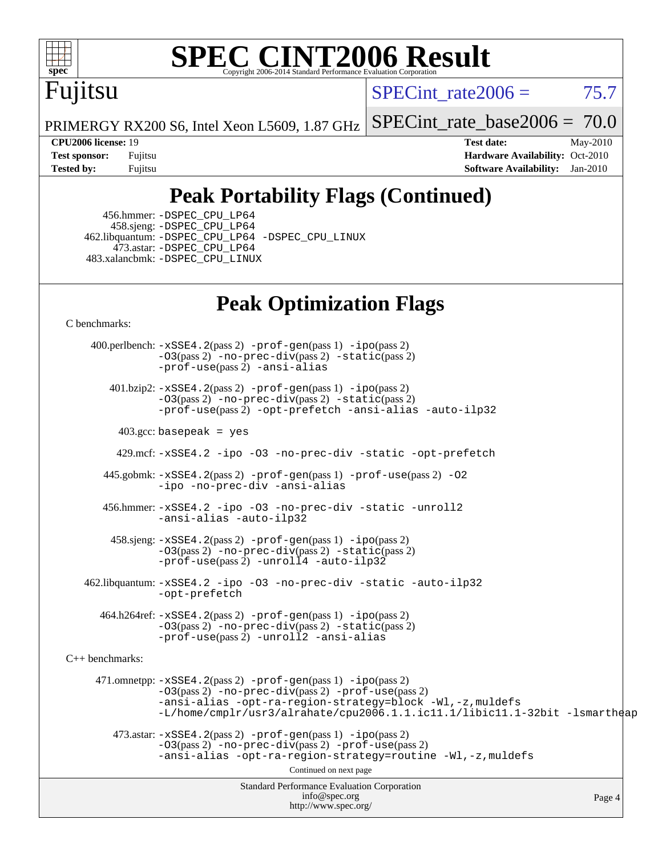

## Fujitsu

SPECint rate  $2006 = 75.7$ 

PRIMERGY RX200 S6, Intel Xeon L5609, 1.87 GHz

[SPECint\\_rate\\_base2006 =](http://www.spec.org/auto/cpu2006/Docs/result-fields.html#SPECintratebase2006) 70.0

**[CPU2006 license:](http://www.spec.org/auto/cpu2006/Docs/result-fields.html#CPU2006license)** 19 **[Test date:](http://www.spec.org/auto/cpu2006/Docs/result-fields.html#Testdate)** May-2010 **[Test sponsor:](http://www.spec.org/auto/cpu2006/Docs/result-fields.html#Testsponsor)** Fujitsu **[Hardware Availability:](http://www.spec.org/auto/cpu2006/Docs/result-fields.html#HardwareAvailability)** Oct-2010 **[Tested by:](http://www.spec.org/auto/cpu2006/Docs/result-fields.html#Testedby)** Fujitsu **[Software Availability:](http://www.spec.org/auto/cpu2006/Docs/result-fields.html#SoftwareAvailability)** Jan-2010

## **[Peak Portability Flags \(Continued\)](http://www.spec.org/auto/cpu2006/Docs/result-fields.html#PeakPortabilityFlags)**

 456.hmmer: [-DSPEC\\_CPU\\_LP64](http://www.spec.org/cpu2006/results/res2010q3/cpu2006-20100706-12275.flags.html#suite_peakCPORTABILITY456_hmmer_DSPEC_CPU_LP64) 458.sjeng: [-DSPEC\\_CPU\\_LP64](http://www.spec.org/cpu2006/results/res2010q3/cpu2006-20100706-12275.flags.html#suite_peakCPORTABILITY458_sjeng_DSPEC_CPU_LP64) 462.libquantum: [-DSPEC\\_CPU\\_LP64](http://www.spec.org/cpu2006/results/res2010q3/cpu2006-20100706-12275.flags.html#suite_peakCPORTABILITY462_libquantum_DSPEC_CPU_LP64) [-DSPEC\\_CPU\\_LINUX](http://www.spec.org/cpu2006/results/res2010q3/cpu2006-20100706-12275.flags.html#b462.libquantum_peakCPORTABILITY_DSPEC_CPU_LINUX) 473.astar: [-DSPEC\\_CPU\\_LP64](http://www.spec.org/cpu2006/results/res2010q3/cpu2006-20100706-12275.flags.html#suite_peakCXXPORTABILITY473_astar_DSPEC_CPU_LP64) 483.xalancbmk: [-DSPEC\\_CPU\\_LINUX](http://www.spec.org/cpu2006/results/res2010q3/cpu2006-20100706-12275.flags.html#b483.xalancbmk_peakCXXPORTABILITY_DSPEC_CPU_LINUX)

#### **[Peak Optimization Flags](http://www.spec.org/auto/cpu2006/Docs/result-fields.html#PeakOptimizationFlags)**

[C benchmarks](http://www.spec.org/auto/cpu2006/Docs/result-fields.html#Cbenchmarks):

Standard Performance Evaluation Corporation [info@spec.org](mailto:info@spec.org) <http://www.spec.org/> Page 4 400.perlbench: [-xSSE4.2](http://www.spec.org/cpu2006/results/res2010q3/cpu2006-20100706-12275.flags.html#user_peakPASS2_CFLAGSPASS2_LDCFLAGS400_perlbench_f-xSSE42_f91528193cf0b216347adb8b939d4107)(pass 2) [-prof-gen](http://www.spec.org/cpu2006/results/res2010q3/cpu2006-20100706-12275.flags.html#user_peakPASS1_CFLAGSPASS1_LDCFLAGS400_perlbench_prof_gen_e43856698f6ca7b7e442dfd80e94a8fc)(pass 1) [-ipo](http://www.spec.org/cpu2006/results/res2010q3/cpu2006-20100706-12275.flags.html#user_peakPASS2_CFLAGSPASS2_LDCFLAGS400_perlbench_f-ipo)(pass 2)  $-03$ (pass 2)  $-$ no-prec-div(pass 2)  $-$ static(pass 2) [-prof-use](http://www.spec.org/cpu2006/results/res2010q3/cpu2006-20100706-12275.flags.html#user_peakPASS2_CFLAGSPASS2_LDCFLAGS400_perlbench_prof_use_bccf7792157ff70d64e32fe3e1250b55)(pass 2) [-ansi-alias](http://www.spec.org/cpu2006/results/res2010q3/cpu2006-20100706-12275.flags.html#user_peakCOPTIMIZE400_perlbench_f-ansi-alias) 401.bzip2: [-xSSE4.2](http://www.spec.org/cpu2006/results/res2010q3/cpu2006-20100706-12275.flags.html#user_peakPASS2_CFLAGSPASS2_LDCFLAGS401_bzip2_f-xSSE42_f91528193cf0b216347adb8b939d4107)(pass 2) [-prof-gen](http://www.spec.org/cpu2006/results/res2010q3/cpu2006-20100706-12275.flags.html#user_peakPASS1_CFLAGSPASS1_LDCFLAGS401_bzip2_prof_gen_e43856698f6ca7b7e442dfd80e94a8fc)(pass 1) [-ipo](http://www.spec.org/cpu2006/results/res2010q3/cpu2006-20100706-12275.flags.html#user_peakPASS2_CFLAGSPASS2_LDCFLAGS401_bzip2_f-ipo)(pass 2) [-O3](http://www.spec.org/cpu2006/results/res2010q3/cpu2006-20100706-12275.flags.html#user_peakPASS2_CFLAGSPASS2_LDCFLAGS401_bzip2_f-O3)(pass 2) [-no-prec-div](http://www.spec.org/cpu2006/results/res2010q3/cpu2006-20100706-12275.flags.html#user_peakPASS2_CFLAGSPASS2_LDCFLAGS401_bzip2_f-no-prec-div)(pass 2) [-static](http://www.spec.org/cpu2006/results/res2010q3/cpu2006-20100706-12275.flags.html#user_peakPASS2_CFLAGSPASS2_LDCFLAGS401_bzip2_f-static)(pass 2) [-prof-use](http://www.spec.org/cpu2006/results/res2010q3/cpu2006-20100706-12275.flags.html#user_peakPASS2_CFLAGSPASS2_LDCFLAGS401_bzip2_prof_use_bccf7792157ff70d64e32fe3e1250b55)(pass 2) [-opt-prefetch](http://www.spec.org/cpu2006/results/res2010q3/cpu2006-20100706-12275.flags.html#user_peakCOPTIMIZE401_bzip2_f-opt-prefetch) [-ansi-alias](http://www.spec.org/cpu2006/results/res2010q3/cpu2006-20100706-12275.flags.html#user_peakCOPTIMIZE401_bzip2_f-ansi-alias) [-auto-ilp32](http://www.spec.org/cpu2006/results/res2010q3/cpu2006-20100706-12275.flags.html#user_peakCOPTIMIZE401_bzip2_f-auto-ilp32)  $403.\text{gcc: basepeak}$  = yes 429.mcf: [-xSSE4.2](http://www.spec.org/cpu2006/results/res2010q3/cpu2006-20100706-12275.flags.html#user_peakCOPTIMIZE429_mcf_f-xSSE42_f91528193cf0b216347adb8b939d4107) [-ipo](http://www.spec.org/cpu2006/results/res2010q3/cpu2006-20100706-12275.flags.html#user_peakCOPTIMIZE429_mcf_f-ipo) [-O3](http://www.spec.org/cpu2006/results/res2010q3/cpu2006-20100706-12275.flags.html#user_peakCOPTIMIZE429_mcf_f-O3) [-no-prec-div](http://www.spec.org/cpu2006/results/res2010q3/cpu2006-20100706-12275.flags.html#user_peakCOPTIMIZE429_mcf_f-no-prec-div) [-static](http://www.spec.org/cpu2006/results/res2010q3/cpu2006-20100706-12275.flags.html#user_peakCOPTIMIZE429_mcf_f-static) [-opt-prefetch](http://www.spec.org/cpu2006/results/res2010q3/cpu2006-20100706-12275.flags.html#user_peakCOPTIMIZE429_mcf_f-opt-prefetch) 445.gobmk: [-xSSE4.2](http://www.spec.org/cpu2006/results/res2010q3/cpu2006-20100706-12275.flags.html#user_peakPASS2_CFLAGSPASS2_LDCFLAGS445_gobmk_f-xSSE42_f91528193cf0b216347adb8b939d4107)(pass 2) [-prof-gen](http://www.spec.org/cpu2006/results/res2010q3/cpu2006-20100706-12275.flags.html#user_peakPASS1_CFLAGSPASS1_LDCFLAGS445_gobmk_prof_gen_e43856698f6ca7b7e442dfd80e94a8fc)(pass 1) [-prof-use](http://www.spec.org/cpu2006/results/res2010q3/cpu2006-20100706-12275.flags.html#user_peakPASS2_CFLAGSPASS2_LDCFLAGS445_gobmk_prof_use_bccf7792157ff70d64e32fe3e1250b55)(pass 2) [-O2](http://www.spec.org/cpu2006/results/res2010q3/cpu2006-20100706-12275.flags.html#user_peakCOPTIMIZE445_gobmk_f-O2) [-ipo](http://www.spec.org/cpu2006/results/res2010q3/cpu2006-20100706-12275.flags.html#user_peakCOPTIMIZE445_gobmk_f-ipo) [-no-prec-div](http://www.spec.org/cpu2006/results/res2010q3/cpu2006-20100706-12275.flags.html#user_peakCOPTIMIZE445_gobmk_f-no-prec-div) [-ansi-alias](http://www.spec.org/cpu2006/results/res2010q3/cpu2006-20100706-12275.flags.html#user_peakCOPTIMIZE445_gobmk_f-ansi-alias) 456.hmmer: [-xSSE4.2](http://www.spec.org/cpu2006/results/res2010q3/cpu2006-20100706-12275.flags.html#user_peakCOPTIMIZE456_hmmer_f-xSSE42_f91528193cf0b216347adb8b939d4107) [-ipo](http://www.spec.org/cpu2006/results/res2010q3/cpu2006-20100706-12275.flags.html#user_peakCOPTIMIZE456_hmmer_f-ipo) [-O3](http://www.spec.org/cpu2006/results/res2010q3/cpu2006-20100706-12275.flags.html#user_peakCOPTIMIZE456_hmmer_f-O3) [-no-prec-div](http://www.spec.org/cpu2006/results/res2010q3/cpu2006-20100706-12275.flags.html#user_peakCOPTIMIZE456_hmmer_f-no-prec-div) [-static](http://www.spec.org/cpu2006/results/res2010q3/cpu2006-20100706-12275.flags.html#user_peakCOPTIMIZE456_hmmer_f-static) [-unroll2](http://www.spec.org/cpu2006/results/res2010q3/cpu2006-20100706-12275.flags.html#user_peakCOPTIMIZE456_hmmer_f-unroll_784dae83bebfb236979b41d2422d7ec2) [-ansi-alias](http://www.spec.org/cpu2006/results/res2010q3/cpu2006-20100706-12275.flags.html#user_peakCOPTIMIZE456_hmmer_f-ansi-alias) [-auto-ilp32](http://www.spec.org/cpu2006/results/res2010q3/cpu2006-20100706-12275.flags.html#user_peakCOPTIMIZE456_hmmer_f-auto-ilp32) 458.sjeng: [-xSSE4.2](http://www.spec.org/cpu2006/results/res2010q3/cpu2006-20100706-12275.flags.html#user_peakPASS2_CFLAGSPASS2_LDCFLAGS458_sjeng_f-xSSE42_f91528193cf0b216347adb8b939d4107)(pass 2) [-prof-gen](http://www.spec.org/cpu2006/results/res2010q3/cpu2006-20100706-12275.flags.html#user_peakPASS1_CFLAGSPASS1_LDCFLAGS458_sjeng_prof_gen_e43856698f6ca7b7e442dfd80e94a8fc)(pass 1) [-ipo](http://www.spec.org/cpu2006/results/res2010q3/cpu2006-20100706-12275.flags.html#user_peakPASS2_CFLAGSPASS2_LDCFLAGS458_sjeng_f-ipo)(pass 2) [-O3](http://www.spec.org/cpu2006/results/res2010q3/cpu2006-20100706-12275.flags.html#user_peakPASS2_CFLAGSPASS2_LDCFLAGS458_sjeng_f-O3)(pass 2) [-no-prec-div](http://www.spec.org/cpu2006/results/res2010q3/cpu2006-20100706-12275.flags.html#user_peakPASS2_CFLAGSPASS2_LDCFLAGS458_sjeng_f-no-prec-div)(pass 2) [-static](http://www.spec.org/cpu2006/results/res2010q3/cpu2006-20100706-12275.flags.html#user_peakPASS2_CFLAGSPASS2_LDCFLAGS458_sjeng_f-static)(pass 2) [-prof-use](http://www.spec.org/cpu2006/results/res2010q3/cpu2006-20100706-12275.flags.html#user_peakPASS2_CFLAGSPASS2_LDCFLAGS458_sjeng_prof_use_bccf7792157ff70d64e32fe3e1250b55)(pass 2) [-unroll4](http://www.spec.org/cpu2006/results/res2010q3/cpu2006-20100706-12275.flags.html#user_peakCOPTIMIZE458_sjeng_f-unroll_4e5e4ed65b7fd20bdcd365bec371b81f) [-auto-ilp32](http://www.spec.org/cpu2006/results/res2010q3/cpu2006-20100706-12275.flags.html#user_peakCOPTIMIZE458_sjeng_f-auto-ilp32) 462.libquantum: [-xSSE4.2](http://www.spec.org/cpu2006/results/res2010q3/cpu2006-20100706-12275.flags.html#user_peakCOPTIMIZE462_libquantum_f-xSSE42_f91528193cf0b216347adb8b939d4107) [-ipo](http://www.spec.org/cpu2006/results/res2010q3/cpu2006-20100706-12275.flags.html#user_peakCOPTIMIZE462_libquantum_f-ipo) [-O3](http://www.spec.org/cpu2006/results/res2010q3/cpu2006-20100706-12275.flags.html#user_peakCOPTIMIZE462_libquantum_f-O3) [-no-prec-div](http://www.spec.org/cpu2006/results/res2010q3/cpu2006-20100706-12275.flags.html#user_peakCOPTIMIZE462_libquantum_f-no-prec-div) [-static](http://www.spec.org/cpu2006/results/res2010q3/cpu2006-20100706-12275.flags.html#user_peakCOPTIMIZE462_libquantum_f-static) [-auto-ilp32](http://www.spec.org/cpu2006/results/res2010q3/cpu2006-20100706-12275.flags.html#user_peakCOPTIMIZE462_libquantum_f-auto-ilp32) [-opt-prefetch](http://www.spec.org/cpu2006/results/res2010q3/cpu2006-20100706-12275.flags.html#user_peakCOPTIMIZE462_libquantum_f-opt-prefetch) 464.h264ref: [-xSSE4.2](http://www.spec.org/cpu2006/results/res2010q3/cpu2006-20100706-12275.flags.html#user_peakPASS2_CFLAGSPASS2_LDCFLAGS464_h264ref_f-xSSE42_f91528193cf0b216347adb8b939d4107)(pass 2) [-prof-gen](http://www.spec.org/cpu2006/results/res2010q3/cpu2006-20100706-12275.flags.html#user_peakPASS1_CFLAGSPASS1_LDCFLAGS464_h264ref_prof_gen_e43856698f6ca7b7e442dfd80e94a8fc)(pass 1) [-ipo](http://www.spec.org/cpu2006/results/res2010q3/cpu2006-20100706-12275.flags.html#user_peakPASS2_CFLAGSPASS2_LDCFLAGS464_h264ref_f-ipo)(pass 2) [-O3](http://www.spec.org/cpu2006/results/res2010q3/cpu2006-20100706-12275.flags.html#user_peakPASS2_CFLAGSPASS2_LDCFLAGS464_h264ref_f-O3)(pass 2) [-no-prec-div](http://www.spec.org/cpu2006/results/res2010q3/cpu2006-20100706-12275.flags.html#user_peakPASS2_CFLAGSPASS2_LDCFLAGS464_h264ref_f-no-prec-div)(pass 2) [-static](http://www.spec.org/cpu2006/results/res2010q3/cpu2006-20100706-12275.flags.html#user_peakPASS2_CFLAGSPASS2_LDCFLAGS464_h264ref_f-static)(pass 2) [-prof-use](http://www.spec.org/cpu2006/results/res2010q3/cpu2006-20100706-12275.flags.html#user_peakPASS2_CFLAGSPASS2_LDCFLAGS464_h264ref_prof_use_bccf7792157ff70d64e32fe3e1250b55)(pass 2) [-unroll2](http://www.spec.org/cpu2006/results/res2010q3/cpu2006-20100706-12275.flags.html#user_peakCOPTIMIZE464_h264ref_f-unroll_784dae83bebfb236979b41d2422d7ec2) [-ansi-alias](http://www.spec.org/cpu2006/results/res2010q3/cpu2006-20100706-12275.flags.html#user_peakCOPTIMIZE464_h264ref_f-ansi-alias) [C++ benchmarks:](http://www.spec.org/auto/cpu2006/Docs/result-fields.html#CXXbenchmarks) 471.omnetpp: [-xSSE4.2](http://www.spec.org/cpu2006/results/res2010q3/cpu2006-20100706-12275.flags.html#user_peakPASS2_CXXFLAGSPASS2_LDCXXFLAGS471_omnetpp_f-xSSE42_f91528193cf0b216347adb8b939d4107)(pass 2) [-prof-gen](http://www.spec.org/cpu2006/results/res2010q3/cpu2006-20100706-12275.flags.html#user_peakPASS1_CXXFLAGSPASS1_LDCXXFLAGS471_omnetpp_prof_gen_e43856698f6ca7b7e442dfd80e94a8fc)(pass 1) [-ipo](http://www.spec.org/cpu2006/results/res2010q3/cpu2006-20100706-12275.flags.html#user_peakPASS2_CXXFLAGSPASS2_LDCXXFLAGS471_omnetpp_f-ipo)(pass 2) [-O3](http://www.spec.org/cpu2006/results/res2010q3/cpu2006-20100706-12275.flags.html#user_peakPASS2_CXXFLAGSPASS2_LDCXXFLAGS471_omnetpp_f-O3)(pass 2) [-no-prec-div](http://www.spec.org/cpu2006/results/res2010q3/cpu2006-20100706-12275.flags.html#user_peakPASS2_CXXFLAGSPASS2_LDCXXFLAGS471_omnetpp_f-no-prec-div)(pass 2) [-prof-use](http://www.spec.org/cpu2006/results/res2010q3/cpu2006-20100706-12275.flags.html#user_peakPASS2_CXXFLAGSPASS2_LDCXXFLAGS471_omnetpp_prof_use_bccf7792157ff70d64e32fe3e1250b55)(pass 2) [-ansi-alias](http://www.spec.org/cpu2006/results/res2010q3/cpu2006-20100706-12275.flags.html#user_peakCXXOPTIMIZE471_omnetpp_f-ansi-alias) [-opt-ra-region-strategy=block](http://www.spec.org/cpu2006/results/res2010q3/cpu2006-20100706-12275.flags.html#user_peakCXXOPTIMIZE471_omnetpp_f-opt-ra-region-strategy-block_a0a37c372d03933b2a18d4af463c1f69) [-Wl,-z,muldefs](http://www.spec.org/cpu2006/results/res2010q3/cpu2006-20100706-12275.flags.html#user_peakEXTRA_LDFLAGS471_omnetpp_link_force_multiple1_74079c344b956b9658436fd1b6dd3a8a) [-L/home/cmplr/usr3/alrahate/cpu2006.1.1.ic11.1/libic11.1-32bit -lsmartheap](http://www.spec.org/cpu2006/results/res2010q3/cpu2006-20100706-12275.flags.html#user_peakEXTRA_LIBS471_omnetpp_SmartHeap_d86dffe4a79b79ef8890d5cce17030c3)  $473.\text{astar: } -xSSE4$ .  $2(\text{pass 2})$   $-\text{prof-gen}(\text{pass 1})$   $-i\text{po}(\text{pass 2})$ [-O3](http://www.spec.org/cpu2006/results/res2010q3/cpu2006-20100706-12275.flags.html#user_peakPASS2_CXXFLAGSPASS2_LDCXXFLAGS473_astar_f-O3)(pass 2) [-no-prec-div](http://www.spec.org/cpu2006/results/res2010q3/cpu2006-20100706-12275.flags.html#user_peakPASS2_CXXFLAGSPASS2_LDCXXFLAGS473_astar_f-no-prec-div)(pass 2) [-prof-use](http://www.spec.org/cpu2006/results/res2010q3/cpu2006-20100706-12275.flags.html#user_peakPASS2_CXXFLAGSPASS2_LDCXXFLAGS473_astar_prof_use_bccf7792157ff70d64e32fe3e1250b55)(pass 2) [-ansi-alias](http://www.spec.org/cpu2006/results/res2010q3/cpu2006-20100706-12275.flags.html#user_peakCXXOPTIMIZE473_astar_f-ansi-alias) [-opt-ra-region-strategy=routine](http://www.spec.org/cpu2006/results/res2010q3/cpu2006-20100706-12275.flags.html#user_peakCXXOPTIMIZE473_astar_f-opt-ra-region-strategy-routine_ba086ea3b1d46a52e1238e2ca173ed44) [-Wl,-z,muldefs](http://www.spec.org/cpu2006/results/res2010q3/cpu2006-20100706-12275.flags.html#user_peakEXTRA_LDFLAGS473_astar_link_force_multiple1_74079c344b956b9658436fd1b6dd3a8a) Continued on next page